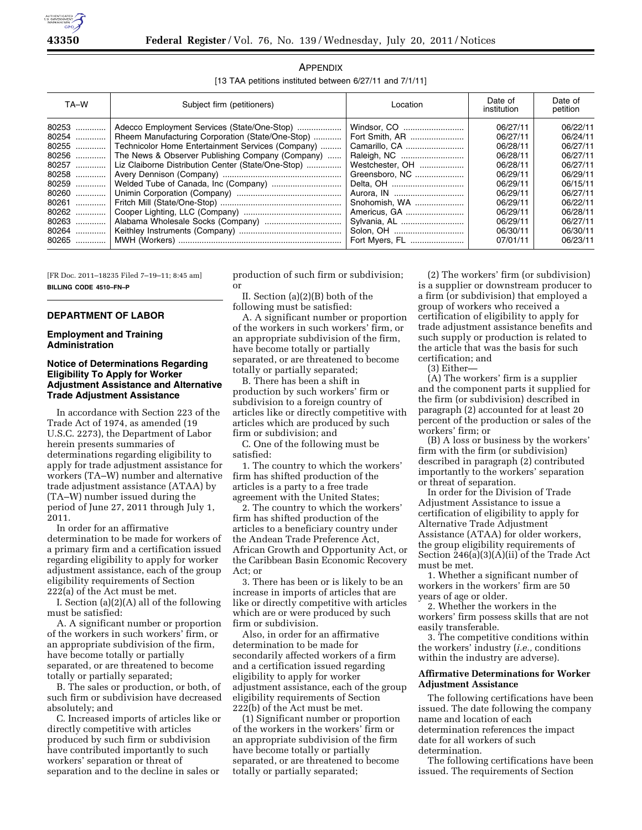

| APPENDIX                                                 |  |  |  |  |
|----------------------------------------------------------|--|--|--|--|
| [13 TAA petitions instituted between 6/27/11 and 7/1/11] |  |  |  |  |

| TA-W  | Subject firm (petitioners)                         | Location        | Date of<br>institution | Date of<br>petition |
|-------|----------------------------------------------------|-----------------|------------------------|---------------------|
| 80253 | Adecco Employment Services (State/One-Stop)        | Windsor, CO     | 06/27/11               | 06/22/11            |
| 80254 | Rheem Manufacturing Corporation (State/One-Stop)   | Fort Smith, AR  | 06/27/11               | 06/24/11            |
| 80255 | Technicolor Home Entertainment Services (Company)  | Camarillo, CA   | 06/28/11               | 06/27/11            |
| 80256 | The News & Observer Publishing Company (Company)   |                 | 06/28/11               | 06/27/11            |
| 80257 | Liz Claiborne Distribution Center (State/One-Stop) | Westchester, OH | 06/28/11               | 06/27/11            |
| 80258 |                                                    | Greensboro, NC  | 06/29/11               | 06/29/11            |
| 80259 |                                                    |                 | 06/29/11               | 06/15/11            |
| 80260 |                                                    |                 | 06/29/11               | 06/27/11            |
| 80261 |                                                    | Snohomish, WA   | 06/29/11               | 06/22/11            |
| 80262 |                                                    | Americus, GA    | 06/29/11               | 06/28/11            |
| 80263 |                                                    | Sylvania, AL    | 06/29/11               | 06/27/11            |
| 80264 |                                                    |                 | 06/30/11               | 06/30/11            |
| 80265 |                                                    | Fort Myers, FL  | 07/01/11               | 06/23/11            |

[FR Doc. 2011–18235 Filed 7–19–11; 8:45 am] **BILLING CODE 4510–FN–P** 

# **DEPARTMENT OF LABOR**

### **Employment and Training Administration**

### **Notice of Determinations Regarding Eligibility To Apply for Worker Adjustment Assistance and Alternative Trade Adjustment Assistance**

In accordance with Section 223 of the Trade Act of 1974, as amended (19 U.S.C. 2273), the Department of Labor herein presents summaries of determinations regarding eligibility to apply for trade adjustment assistance for workers (TA–W) number and alternative trade adjustment assistance (ATAA) by (TA–W) number issued during the period of June 27, 2011 through July 1, 2011.

In order for an affirmative determination to be made for workers of a primary firm and a certification issued regarding eligibility to apply for worker adjustment assistance, each of the group eligibility requirements of Section 222(a) of the Act must be met.

I. Section (a)(2)(A) all of the following must be satisfied:

A. A significant number or proportion of the workers in such workers' firm, or an appropriate subdivision of the firm, have become totally or partially separated, or are threatened to become totally or partially separated;

B. The sales or production, or both, of such firm or subdivision have decreased absolutely; and

C. Increased imports of articles like or directly competitive with articles produced by such firm or subdivision have contributed importantly to such workers' separation or threat of separation and to the decline in sales or

production of such firm or subdivision; or

II. Section (a)(2)(B) both of the following must be satisfied:

A. A significant number or proportion of the workers in such workers' firm, or an appropriate subdivision of the firm, have become totally or partially separated, or are threatened to become totally or partially separated;

B. There has been a shift in production by such workers' firm or subdivision to a foreign country of articles like or directly competitive with articles which are produced by such firm or subdivision; and

C. One of the following must be satisfied:

1. The country to which the workers' firm has shifted production of the articles is a party to a free trade agreement with the United States;

2. The country to which the workers' firm has shifted production of the articles to a beneficiary country under the Andean Trade Preference Act, African Growth and Opportunity Act, or the Caribbean Basin Economic Recovery Act; or

3. There has been or is likely to be an increase in imports of articles that are like or directly competitive with articles which are or were produced by such firm or subdivision.

Also, in order for an affirmative determination to be made for secondarily affected workers of a firm and a certification issued regarding eligibility to apply for worker adjustment assistance, each of the group eligibility requirements of Section 222(b) of the Act must be met.

(1) Significant number or proportion of the workers in the workers' firm or an appropriate subdivision of the firm have become totally or partially separated, or are threatened to become totally or partially separated;

(2) The workers' firm (or subdivision) is a supplier or downstream producer to a firm (or subdivision) that employed a group of workers who received a certification of eligibility to apply for trade adjustment assistance benefits and such supply or production is related to the article that was the basis for such certification; and

(3) Either—

(A) The workers' firm is a supplier and the component parts it supplied for the firm (or subdivision) described in paragraph (2) accounted for at least 20 percent of the production or sales of the workers' firm; or

(B) A loss or business by the workers' firm with the firm (or subdivision) described in paragraph (2) contributed importantly to the workers' separation or threat of separation.

In order for the Division of Trade Adjustment Assistance to issue a certification of eligibility to apply for Alternative Trade Adjustment Assistance (ATAA) for older workers, the group eligibility requirements of Section 246(a)(3)(A)(ii) of the Trade Act must be met.

1. Whether a significant number of workers in the workers' firm are 50 years of age or older.

2. Whether the workers in the workers' firm possess skills that are not easily transferable.

3. The competitive conditions within the workers' industry (*i.e.,* conditions within the industry are adverse).

# **Affirmative Determinations for Worker Adjustment Assistance**

The following certifications have been issued. The date following the company name and location of each determination references the impact date for all workers of such determination.

The following certifications have been issued. The requirements of Section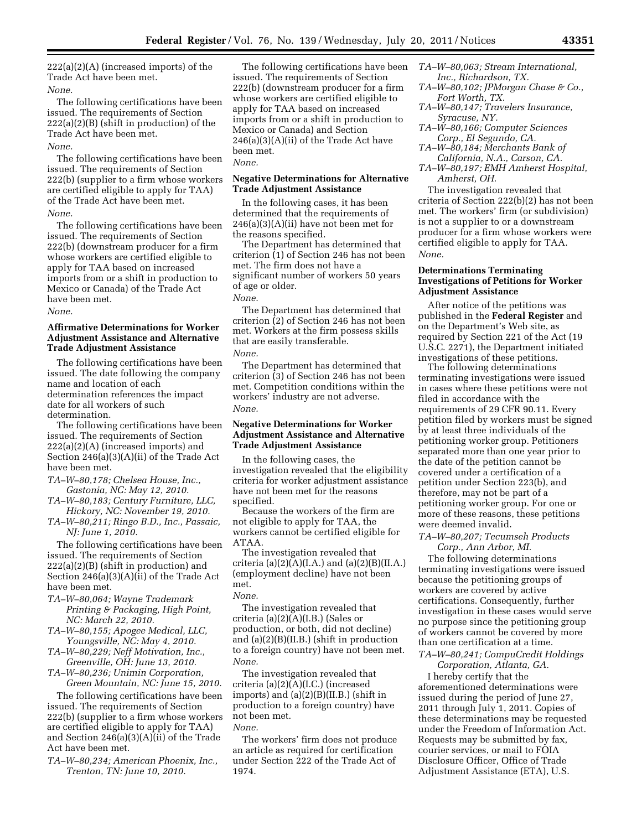222(a)(2)(A) (increased imports) of the Trade Act have been met. *None.* 

The following certifications have been issued. The requirements of Section 222(a)(2)(B) (shift in production) of the Trade Act have been met. *None.* 

The following certifications have been issued. The requirements of Section 222(b) (supplier to a firm whose workers are certified eligible to apply for TAA) of the Trade Act have been met.

*None.* 

The following certifications have been issued. The requirements of Section 222(b) (downstream producer for a firm whose workers are certified eligible to apply for TAA based on increased imports from or a shift in production to Mexico or Canada) of the Trade Act have been met.

*None.* 

# **Affirmative Determinations for Worker Adjustment Assistance and Alternative Trade Adjustment Assistance**

The following certifications have been issued. The date following the company name and location of each determination references the impact date for all workers of such determination.

The following certifications have been issued. The requirements of Section 222(a)(2)(A) (increased imports) and Section 246(a)(3)(A)(ii) of the Trade Act have been met.

- *TA–W–80,178; Chelsea House, Inc., Gastonia, NC: May 12, 2010.*
- *TA–W–80,183; Century Furniture, LLC, Hickory, NC: November 19, 2010.*
- *TA–W–80,211; Ringo B.D., Inc., Passaic, NJ: June 1, 2010.*

The following certifications have been issued. The requirements of Section 222(a)(2)(B) (shift in production) and Section 246(a)(3)(A)(ii) of the Trade Act have been met.

- *TA–W–80,064; Wayne Trademark Printing & Packaging, High Point, NC: March 22, 2010.*
- *TA–W–80,155; Apogee Medical, LLC, Youngsville, NC: May 4, 2010.*
- *TA–W–80,229; Neff Motivation, Inc., Greenville, OH: June 13, 2010.*
- *TA–W–80,236; Unimin Corporation, Green Mountain, NC: June 15, 2010.*

The following certifications have been issued. The requirements of Section 222(b) (supplier to a firm whose workers are certified eligible to apply for TAA) and Section 246(a)(3)(A)(ii) of the Trade Act have been met.

*TA–W–80,234; American Phoenix, Inc., Trenton, TN: June 10, 2010.* 

The following certifications have been issued. The requirements of Section 222(b) (downstream producer for a firm whose workers are certified eligible to apply for TAA based on increased imports from or a shift in production to Mexico or Canada) and Section  $246(a)(3)(A)(ii)$  of the Trade Act have been met.

# *None.*

### **Negative Determinations for Alternative Trade Adjustment Assistance**

In the following cases, it has been determined that the requirements of  $246(a)(3)(A)(ii)$  have not been met for the reasons specified.

The Department has determined that criterion (1) of Section 246 has not been met. The firm does not have a significant number of workers 50 years of age or older.

*None.* 

The Department has determined that criterion (2) of Section 246 has not been met. Workers at the firm possess skills that are easily transferable. *None.* 

The Department has determined that criterion (3) of Section 246 has not been met. Competition conditions within the workers' industry are not adverse. *None.* 

### **Negative Determinations for Worker Adjustment Assistance and Alternative Trade Adjustment Assistance**

In the following cases, the investigation revealed that the eligibility criteria for worker adjustment assistance have not been met for the reasons specified.

Because the workers of the firm are not eligible to apply for TAA, the workers cannot be certified eligible for ATAA.

The investigation revealed that criteria (a) $(2)(A)(I.A.)$  and (a) $(2)(B)(II.A.)$ (employment decline) have not been met.

#### *None.*

The investigation revealed that criteria (a)(2)(A)(I.B.) (Sales or production, or both, did not decline) and (a)(2)(B)(II.B.) (shift in production to a foreign country) have not been met. *None.* 

The investigation revealed that criteria (a)(2)(A)(I.C.) (increased imports) and  $(a)(2)(B)(II.B.)$  (shift in production to a foreign country) have not been met.

#### *None.*

The workers' firm does not produce an article as required for certification under Section 222 of the Trade Act of 1974.

- *TA–W–80,063; Stream International, Inc., Richardson, TX.*
- *TA–W–80,102; JPMorgan Chase & Co., Fort Worth, TX.*
- *TA–W–80,147; Travelers Insurance, Syracuse, NY.*
- *TA–W–80,166; Computer Sciences Corp., El Segundo, CA.*
- *TA–W–80,184; Merchants Bank of California, N.A., Carson, CA.*
- *TA–W–80,197; EMH Amherst Hospital, Amherst, OH.*

The investigation revealed that criteria of Section 222(b)(2) has not been met. The workers' firm (or subdivision) is not a supplier to or a downstream producer for a firm whose workers were certified eligible to apply for TAA. *None.* 

### **Determinations Terminating Investigations of Petitions for Worker Adjustment Assistance**

After notice of the petitions was published in the **Federal Register** and on the Department's Web site, as required by Section 221 of the Act (19 U.S.C. 2271), the Department initiated investigations of these petitions.

The following determinations terminating investigations were issued in cases where these petitions were not filed in accordance with the requirements of 29 CFR 90.11. Every petition filed by workers must be signed by at least three individuals of the petitioning worker group. Petitioners separated more than one year prior to the date of the petition cannot be covered under a certification of a petition under Section 223(b), and therefore, may not be part of a petitioning worker group. For one or more of these reasons, these petitions were deemed invalid.

### *TA–W–80,207; Tecumseh Products Corp., Ann Arbor, MI.*

The following determinations terminating investigations were issued because the petitioning groups of workers are covered by active certifications. Consequently, further investigation in these cases would serve no purpose since the petitioning group of workers cannot be covered by more than one certification at a time. *TA–W–80,241; CompuCredit Holdings* 

*Corporation, Atlanta, GA.* 

I hereby certify that the aforementioned determinations were issued during the period of June 27, 2011 through July 1, 2011. Copies of these determinations may be requested under the Freedom of Information Act. Requests may be submitted by fax, courier services, or mail to FOIA Disclosure Officer, Office of Trade Adjustment Assistance (ETA), U.S.